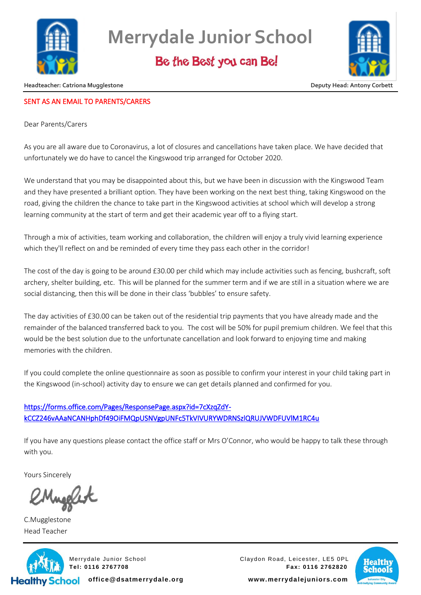

**Merrydale Junior School**

Be the Best you can Be!



**Headteacher: Catriona Mugglestone Community Community Community Community Community Community Community Community** 

## SENT AS AN EMAIL TO PARENTS/CARERS

Dear Parents/Carers

As you are all aware due to Coronavirus, a lot of closures and cancellations have taken place. We have decided that unfortunately we do have to cancel the Kingswood trip arranged for October 2020.

We understand that you may be disappointed about this, but we have been in discussion with the Kingswood Team and they have presented a brilliant option. They have been working on the next best thing, taking Kingswood on the road, giving the children the chance to take part in the Kingswood activities at school which will develop a strong learning community at the start of term and get their academic year off to a flying start.

Through a mix of activities, team working and collaboration, the children will enjoy a truly vivid learning experience which they'll reflect on and be reminded of every time they pass each other in the corridor!

The cost of the day is going to be around £30.00 per child which may include activities such as fencing, bushcraft, soft archery, shelter building, etc. This will be planned for the summer term and if we are still in a situation where we are social distancing, then this will be done in their class 'bubbles' to ensure safety.

The day activities of £30.00 can be taken out of the residential trip payments that you have already made and the remainder of the balanced transferred back to you. The cost will be 50% for pupil premium children. We feel that this would be the best solution due to the unfortunate cancellation and look forward to enjoying time and making memories with the children.

If you could complete the online questionnaire as soon as possible to confirm your interest in your child taking part in the Kingswood (in-school) activity day to ensure we can get details planned and confirmed for you.

## [https://forms.office.com/Pages/ResponsePage.aspx?id=7cXzqZdY](https://forms.office.com/Pages/ResponsePage.aspx?id=7cXzqZdY-kCCZ246vAAaNCANHphDf49OiFMQpUSNVgpUNFc5TkVIVURYWDRNSzlQRUJVWDFUVlM1RC4u)[kCCZ246vAAaNCANHphDf49OiFMQpUSNVgpUNFc5TkVIVURYWDRNSzlQRUJVWDFUVlM1RC4u](https://forms.office.com/Pages/ResponsePage.aspx?id=7cXzqZdY-kCCZ246vAAaNCANHphDf49OiFMQpUSNVgpUNFc5TkVIVURYWDRNSzlQRUJVWDFUVlM1RC4u)

If you have any questions please contact the office staff or Mrs O'Connor, who would be happy to talk these through with you.

Yours Sincerely

C.Mugglestone Head Teacher



Merrydale Junior School Claydon Road, Leicester, LE5 0PL **Tel: 0116 2767708 Fax: 0116 2762820**



**office@dsatmerrydale.org www.merrydalejuniors.com**